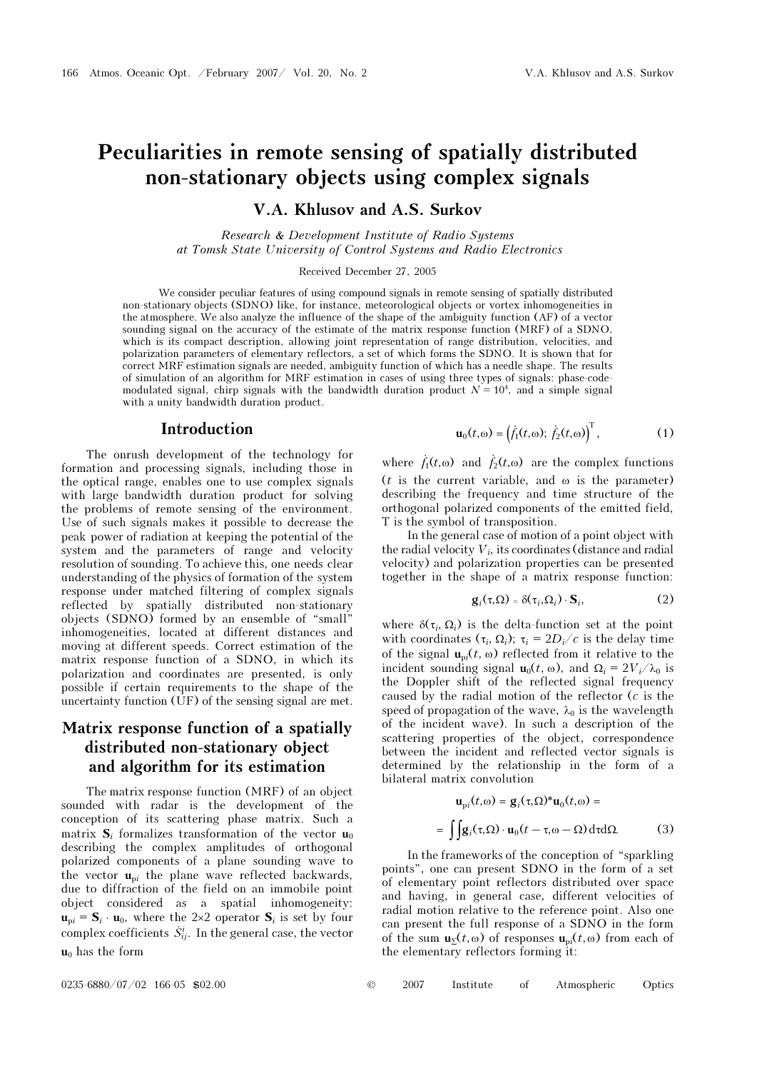# Peculiarities in remote sensing of spatially distributed non-stationary objects using complex signals

V.A. Khlusov and A.S. Surkov

Research & Development Institute of Radio Systems at Tomsk State University of Control Systems and Radio Electronics

Received December 27, 2005

We consider peculiar features of using compound signals in remote sensing of spatially distributed non-stationary objects (SDNO) like, for instance, meteorological objects or vortex inhomogeneities in the atmosphere. We also analyze the influence of the shape of the ambiguity function (AF) of a vector sounding signal on the accuracy of the estimate of the matrix response function (MRF) of a SDNO, which is its compact description, allowing joint representation of range distribution, velocities, and polarization parameters of elementary reflectors, a set of which forms the SDNO. It is shown that for correct MRF estimation signals are needed, ambiguity function of which has a needle shape. The results of simulation of an algorithm for MRF estimation in cases of using three types of signals: phase-codemodulated signal, chirp signals with the bandwidth duration product  $N = 10<sup>4</sup>$ , and a simple signal with a unity bandwidth duration product. th has a needle shape. The result<br>hree types of signals: phase-co-<br>loct  $N = 10^4$ , and a simple sign<br> $\mathbf{u}_0(t, \omega) = (\dot{f}_1(t, \omega); \dot{f}_2(t, \omega))^T$ , .<br>.<br>.

#### Introduction

The onrush development of the technology for formation and processing signals, including those in the optical range, enables one to use complex signals with large bandwidth duration product for solving the problems of remote sensing of the environment. Use of such signals makes it possible to decrease the peak power of radiation at keeping the potential of the system and the parameters of range and velocity resolution of sounding. To achieve this, one needs clear understanding of the physics of formation of the system response under matched filtering of complex signals reflected by spatially distributed non-stationary objects (SDNO) formed by an ensemble of "small" inhomogeneities, located at different distances and moving at different speeds. Correct estimation of the matrix response function of a SDNO, in which its polarization and coordinates are presented, is only possible if certain requirements to the shape of the uncertainty function (UF) of the sensing signal are met.

### Matrix response function of a spatially distributed non-stationary object and algorithm for its estimation

The matrix response function (MRF) of an object sounded with radar is the development of the conception of its scattering phase matrix. Such a matrix  $S_i$  formalizes transformation of the vector  $\mathbf{u}_0$ describing the complex amplitudes of orthogonal polarized components of a plane sounding wave to the vector  $\mathbf{u}_{\text{p}i}$  the plane wave reflected backwards, due to diffraction of the field on an immobile point object considered as a spatial inhomogeneity:  $\mathbf{u}_{\text{p}i} = \mathbf{S}_i \cdot \mathbf{u}_0$ , where the 2×2 operator  $\mathbf{S}_i$  is set by four complex coefficients  $\dot{S}_{ij}^i$ . In the general case, the vector  $u_0$  has the form

$$
\mathbf{u}_0(t,\omega) = (\dot{f}_1(t,\omega); \dot{f}_2(t,\omega))^T, \qquad (1)
$$
  
where  $\dot{f}_1(t,\omega)$  and  $\dot{f}_2(t,\omega)$  are the complex functions

(*t* is the current variable, and  $\omega$  is the parameter) describing the frequency and time structure of the orthogonal polarized components of the emitted field, T is the symbol of transposition.

In the general case of motion of a point object with the radial velocity  $V_i$ , its coordinates (distance and radial velocity) and polarization properties can be presented together in the shape of a matrix response function:

$$
\mathbf{g}_i(\tau,\Omega) = \delta(\tau_i,\Omega_i) \cdot \mathbf{S}_i, \tag{2}
$$

where  $\delta(\tau_i, \Omega_i)$  is the delta-function set at the point with coordinates  $(\tau_i, \Omega_i)$ ;  $\tau_i = 2D_i/c$  is the delay time of the signal  $\mathbf{u}_{pi}(t, \omega)$  reflected from it relative to the incident sounding signal  $\mathbf{u}_0(t, \omega)$ , and  $\Omega_i = 2V_i/\lambda_0$  is the Doppler shift of the reflected signal frequency caused by the radial motion of the reflector (c is the speed of propagation of the wave,  $\lambda_0$  is the wavelength of the incident wave). In such a description of the scattering properties of the object, correspondence between the incident and reflected vector signals is determined by the relationship in the form of a bilateral matrix convolution

$$
\mathbf{u}_{\text{pi}}(t,\omega) = \mathbf{g}_i(\tau,\Omega)^* \mathbf{u}_0(t,\omega) =
$$

$$
= \int \int \mathbf{g}_i(\tau,\Omega) \cdot \mathbf{u}_0(t-\tau,\omega-\Omega) d\tau d\Omega. \tag{3}
$$

In the frameworks of the conception of "sparkling points", one can present SDNO in the form of a set of elementary point reflectors distributed over space and having, in general case, different velocities of radial motion relative to the reference point. Also one can present the full response of a SDNO in the form of the sum  $\mathbf{u}_{\Sigma}(t,\omega)$  of responses  $\mathbf{u}_{\Omega}(t,\omega)$  from each of the elementary reflectors forming it:

 $0235-6880/07/02$  166-05 \$02.00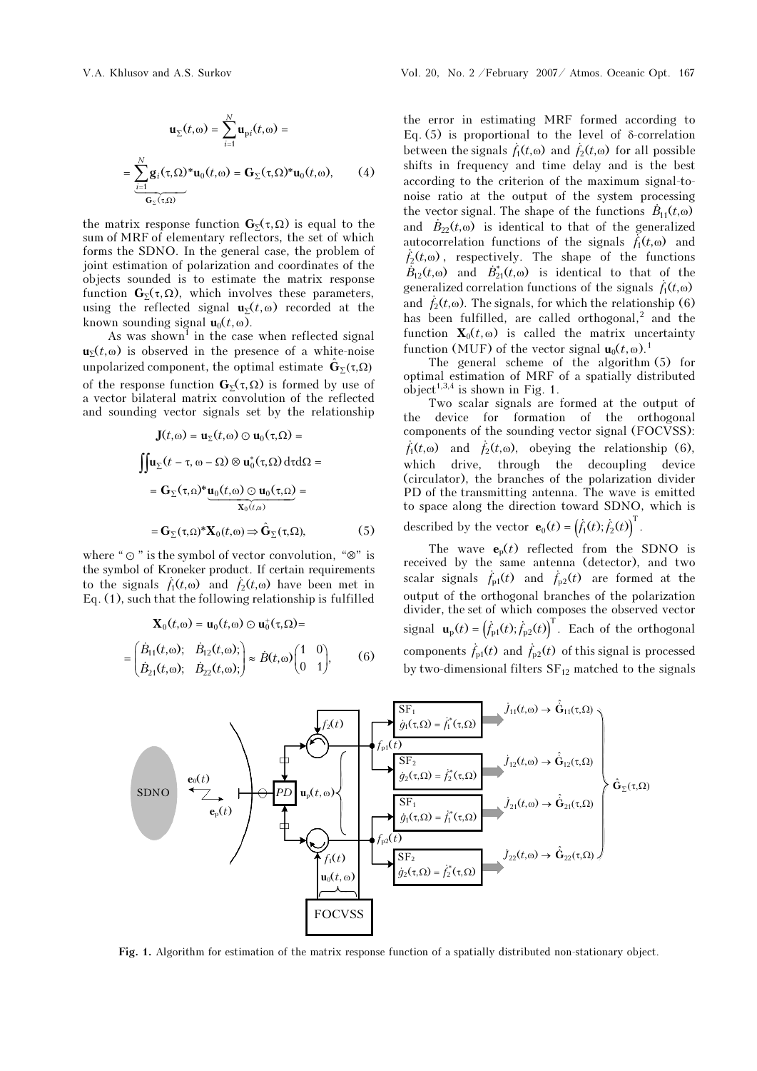$$
\mathbf{u}_{\Sigma}(t,\omega) = \sum_{i=1}^{N} \mathbf{u}_{pi}(t,\omega) =
$$

$$
= \sum_{i=1}^{N} \mathbf{g}_{i}(\tau,\Omega)^{*} \mathbf{u}_{0}(t,\omega) = \mathbf{G}_{\Sigma}(\tau,\Omega)^{*} \mathbf{u}_{0}(t,\omega), \qquad (4)
$$

the matrix response function  $\mathbf{G}_{\Sigma}(\tau,\Omega)$  is equal to the sum of MRF of elementary reflectors, the set of which forms the SDNO. In the general case, the problem of joint estimation of polarization and coordinates of the objects sounded is to estimate the matrix response function  $\mathbf{G}_{\Sigma}(\tau,\Omega)$ , which involves these parameters, using the reflected signal  $\mathbf{u}_{\Sigma}(t,\omega)$  recorded at the known sounding signal  $\mathbf{u}_0(t, \omega)$ .

As was shown<sup>1</sup> in the case when reflected signal  $u_{\Sigma}(t,\omega)$  is observed in the presence of a white-noise unpolarized component, the optimal estimate  $\hat{\mathbf{G}}_{\Sigma}(\tau,\Omega)$ of the response function  $\mathbf{G}_{\Sigma}(\tau,\Omega)$  is formed by use of a vector bilateral matrix convolution of the reflected and sounding vector signals set by the relationship

$$
\mathbf{J}(t,\omega) = \mathbf{u}_{\Sigma}(t,\omega) \odot \mathbf{u}_{0}(\tau,\Omega) =
$$
\n
$$
\iint \mathbf{u}_{\Sigma}(t-\tau,\omega-\Omega) \otimes \mathbf{u}_{0}^{*}(\tau,\Omega) d\tau d\Omega =
$$
\n
$$
= \mathbf{G}_{\Sigma}(\tau,\Omega)^{*} \underbrace{\mathbf{u}_{0}(t,\omega) \odot \mathbf{u}_{0}(\tau,\Omega)}_{\mathbf{X}_{0}(t,\omega)} =
$$
\n
$$
= \mathbf{G}_{\Sigma}(\tau,\Omega)^{*} \mathbf{X}_{0}(t,\omega) \Rightarrow \hat{\mathbf{G}}_{\Sigma}(\tau,\Omega), \tag{5}
$$

where " $\odot$ " is the symbol of vector convolution, " $\otimes$ " is the symbol of Kroneker product. If certain requirements  $= G_{\Sigma}(\tau, \Omega)^* \mathbf{X}_0(t, \omega) \Rightarrow \hat{G}_{\Sigma}(\tau, \Omega),$  (5)<br>where " $\odot$  " is the symbol of vector convolution, " $\otimes$ " is<br>the symbol of Kroneker product. If certain requirements<br>to the signals  $\dot{f}_1(t, \omega)$  and  $\dot{f}_2(t, \omega)$  have be

to the signals 
$$
f_1(t, \omega)
$$
 and  $f_2(t, \omega)$  have been met in  
Eq. (1), such that the following relationship is fulfilled  

$$
\mathbf{X}_0(t, \omega) = \mathbf{u}_0(t, \omega) \odot \mathbf{u}_0^+( \tau, \Omega) =
$$

$$
= \begin{pmatrix} \dot{B}_{11}(t, \omega); & \dot{B}_{12}(t, \omega); \\ \dot{B}_{21}(t, \omega); & \dot{B}_{22}(t, \omega); \end{pmatrix} \approx \dot{B}(t, \omega) \begin{pmatrix} 1 & 0 \\ 0 & 1 \end{pmatrix}, \qquad (6)
$$

the error in estimating MRF formed according to Eq. (5) is proportional to the level of δ-correlation the error in estimating MRF formed according to Eq. (5) is proportional to the level of  $\delta$ -correlation between the signals  $f_1(t, \omega)$  and  $f_2(t, \omega)$  for all possible shifts in frequency and time delay and is the best according to the criterion of the maximum signal-tonoise ratio at the output of the system processing between the signals  $f_1(t, \omega)$  and  $f_2(t, \omega)$  for all possible<br>shifts in frequency and time delay and is the best<br>according to the criterion of the maximum signal-to-<br>noise ratio at the output of the system processing<br>the and B t - $\dot{B}_{22}(t,\omega)$  is identical to that of the generalized autocorrelation functions of the signals  $f_1(t, \omega)$  and noise ratio at the output of the system processing<br>the vector signal. The shape of the functions  $\dot{B}_{11}(t, \omega)$ <br>and  $\dot{B}_{22}(t, \omega)$  is identical to that of the generalized<br>autocorrelation functions of the signals  $\dot{f}_1$  $\begin{array}{c} \text{th} \ \text{all} \ \hat{f}_2 \ \hat{B} \end{array}$  $\dot{B}_{12}(t,\omega)$  and  $\dot{B}_{21}(t,\omega)$  is identical to that of the  $\begin{align} \text{1.6}\ \text{1.7}\ \text{1.8}\ \text{1.8}\ \text{1.9}\ \text{1.9}\ \text{1.1}\ \text{1.1}\ \text{1.1}\ \text{1.1}\ \text{1.1}\ \text{1.1}\ \text{1.2}\ \text{1.2}\ \text{1.1}\ \text{1.2}\ \text{1.2}\ \text{1.3}\ \text{1.4}\ \text{1.5}\ \text{1.6}\ \text{1.6}\ \text{1.7}\ \text{1.7}\ \text{1.8}\ \text{1.8}\ \text{1.9}\ \text{1.9}\ \text{1.9}\ \text{1.9}\ \text{1.$ generalized correlation functions of the signals  $f_1(t, \omega)$ autocorrelat<br>  $\dot{f}_2(t, \omega)$ , re<br>  $\dot{B}_{12}(t, \omega)$  are<br>
generalized<br>
and  $\dot{f}_2(t, \omega)$ . and  $\hat{f}_2(t,\omega)$ . The signals, for which the relationship (6) has been fulfilled, are called orthogonal,<sup>2</sup> and the function  $\mathbf{X}_0(t,\omega)$  is called the matrix uncertainty function (MUF) of the vector signal  $\mathbf{u}_0(t,\omega)$ .<sup>1</sup>

The general scheme of the algorithm (5) for optimal estimation of MRF of a spatially distributed object<sup>1,3,4</sup> is shown in Fig. 1.

Two scalar signals are formed at the output of the device for formation of the orthogonal components of the sounding vector signal (FOCVSS):  $\dot{f}_1(t, \omega)$  and  $\dot{f}_2(t, \omega)$ , obeying the relationship (6), which drive, through the decoupling device (circulator), the branches of the polarization divider PD of the transmitting antenna. The wave is emitted to space along the direction toward SDNO, which is the decoupling<br>es of the polarization<br>intenna. The wave<br>tion toward SDNO<sub>.</sub><br> $\mathbf{e}_0(t) = (\dot{f}_1(t); \dot{f}_2(t))^T$ . 0<br>a<br>S

described by the vector  $\mathbf{e}_0(t) = (\dot{f}_1(t); \dot{f}_2(t))^T$ 

The wave  $\mathbf{e}_p(t)$  reflected from the SDNO is received by the same antenna (detector), and two to space along the direction tow<br>described by the vector  $\mathbf{e}_0(t) = \begin{pmatrix} 1 \\ 1 \end{pmatrix}$ <br>The wave  $\mathbf{e}_p(t)$  reflected<br>received by the same antenna<br>scalar signals  $f_{p1}(t)$  and  $f_{p2}(t)$ scalar signals  $\dot{f}_{p1}(t)$  and  $\dot{f}_{p2}(t)$  are formed at the output of the orthogonal branches of the polarization divider, the set of which composes the observed vector signal  $\mathbf{u}_{p}(t) = (\dot{f}_{p1}(t); \dot{f}_{p2}(t))^{\text{T}}$ if by the same antenna (detector), and two<br>signals  $f_{p1}(t)$  and  $f_{p2}(t)$  are formed at the<br>of the orthogonal branches of the polarization<br>, the set of which composes the observed vector<br> $\mathbf{u}_p(t) = (\dot{f}_{p1}(t); \dot{f}_{p2}(t))^T$ e<br>01<br>scarar signars  $f_{p1}(t)$  and  $f_{p2}(t)$ <br>output of the orthogonal br<br>divider, the set of which com<br>signal  $\mathbf{u}_p(t) = (f_{p1}(t); f_{p2}(t))^T$ <br>components  $f_{p1}(t)$  and  $f_{p2}(t)$ components  $\dot{f}_{p1}(t)$  and  $\dot{f}_{p2}(t)$  of this signal is processed



Fig. 1. Algorithm for estimation of the matrix response function of a spatially distributed non-stationary object.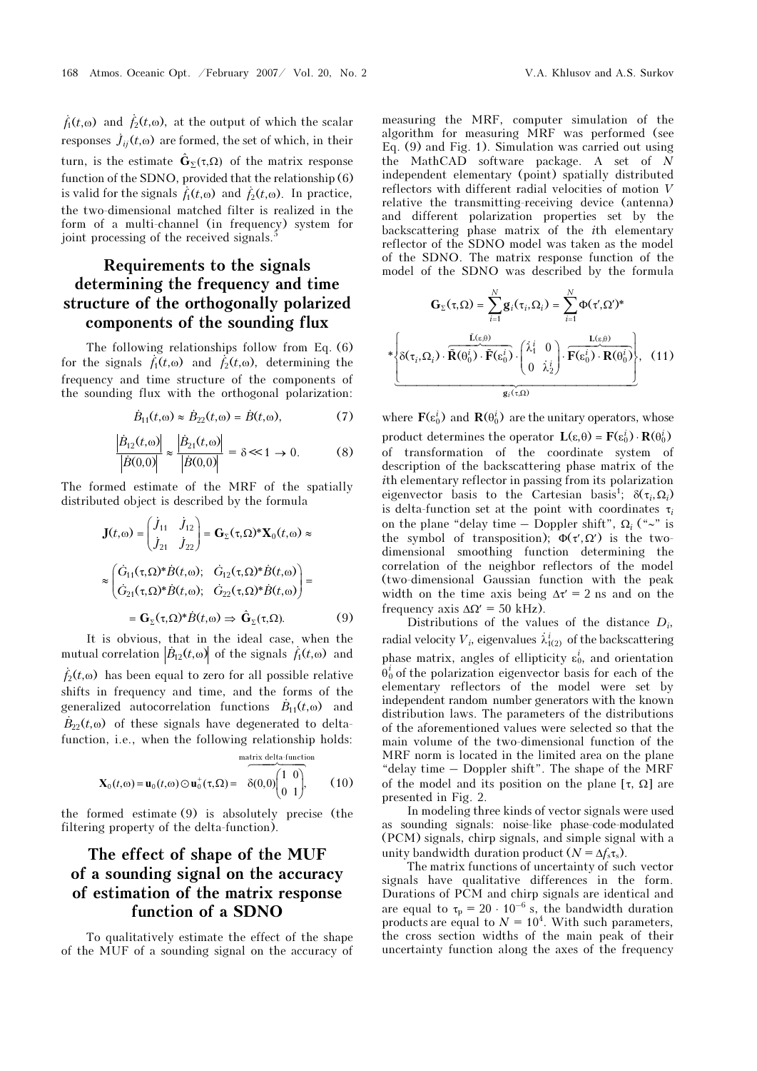168 Atmos. Oceanic Opt. /February 2007/ Vol. 20, No.<br>  $\dot{f}_1(t, \omega)$  and  $\dot{f}_2(t, \omega)$ , at the output of which the scalar responses  $j_{ij}(t, \omega)$  are formed, the set of which, in their turn, is the estimate  $\hat{\mathbf{G}}_{\Sigma}(\tau,\Omega)$  of the matrix response function of the SDNO, provided that the relationship (6)  $f_1(t, \omega)$  and  $f_2(t, \omega)$ , at the output of wl<br>responses  $\dot{J}_{ij}(t, \omega)$  are formed, the set of v<br>turn, is the estimate  $\hat{G}_{\Sigma}(\tau, \Omega)$  of the m<br>function of the SDNO, provided that the i<br>is valid for the signals  $\dot{f}_1(t,$  $f_2(t, \omega)$ . In practice, the two-dimensional matched filter is realized in the form of a multi-channel (in frequency) system for joint processing of the received signals.<sup>5</sup>

## Requirements to the signals determining the frequency and time **structure of the orthogonally polarized**<br> **components of the sounding flux**<br>
The following relationships follow from Eq. (6)<br>
for the signals  $\hat{f}_1(t,\omega)$  and  $\hat{f}_2(t,\omega)$ , determining the components of the sounding flux **orthogona**<br>**f the sour**<br>ationships fol<br>and  $\dot{f}_2(t, \omega)$ ,

The following relationships follow from Eq. (6) Is  $\hat{f}_1(t, \omega)$  and  $\hat{f}_2(t, \omega)$ , determining the<br>d time structure of the components of<br>flux with the orthogonal polarization:<br> $\hat{B}_{11}(t, \omega) \approx \hat{B}_{22}(t, \omega) = \hat{B}(t, \omega)$ . (7) frequency and time structure of the components of the sounding flux with the orthogonal polarization: こうし t<br>:<br>.

$$
\dot{B}_{11}(t, \omega) \approx \dot{B}_{22}(t, \omega) = \dot{B}(t, \omega), \tag{7}
$$

$$
\vec{B}_{11}(t, \omega) \approx \vec{B}_{22}(t, \omega) = \vec{B}(t, \omega), \qquad (7)
$$

$$
\left| \frac{\vec{B}_{12}(t, \omega)}{|\vec{B}(0, 0)|} \right| \approx \frac{\left| \frac{\vec{B}_{21}(t, \omega)}{|\vec{B}(0, 0)|} \right|}{\left| \vec{B}(0, 0) \right|} = \delta \ll 1 \to 0. \qquad (8)
$$

The formed estimate of the MRF of the spatially distributed object is described by the formula |<br>|-<br>| e<br>*j* 

$$
\mathbf{J}(t,\omega) = \begin{pmatrix} \dot{J}_{11} & \dot{J}_{12} \\ \dot{J}_{21} & \dot{J}_{22} \end{pmatrix} = \mathbf{G}_{\Sigma}(\tau,\Omega)^* \mathbf{X}_0(t,\omega) \approx
$$

$$
\approx \begin{pmatrix} \dot{G}_{11}(\tau,\Omega)^* \dot{B}(t,\omega); & \dot{G}_{12}(\tau,\Omega)^* \dot{B}(t,\omega) \\ \dot{G}_{21}(\tau,\Omega)^* \dot{B}(t,\omega); & \dot{G}_{22}(\tau,\Omega)^* \dot{B}(t,\omega) \end{pmatrix} =
$$

$$
= \mathbf{G}_{\Sigma}(\tau,\Omega)^* \dot{B}(t,\omega) \Rightarrow \hat{\mathbf{G}}_{\Sigma}(\tau,\Omega). \tag{9}
$$
It is obvious, that in the ideal case, when the mutual correlation  $|\dot{B}_{12}(t,\omega)|$  of the signals  $f_1(t,\omega)$  and

It is obvious, that in the ideal case, when the It<br>mutual<br> $\dot{f}_2(t, \omega)$  $f_2(t, \omega)$  has been equal to zero for all possible relative shifts in frequency and time, and the forms of the mutual correlation  $\left|\vec{B}_{12}(t,\omega)\right|$  of the signals  $\dot{f}_1(t,\omega)$  has been equal to zero for all possible<br>shifts in frequency and time, and the form<br>generalized autocorrelation functions  $\dot{B}_{11}(t)$  $\dot{B}_{11}(t, \omega)$  and  $\dot{f}_2(t)$  as<br>hifts<br>gener<br> $\dot{B}_{22}(t)$  $\dot{B}_{22}(t,\omega)$  of these signals have degenerated to deltafunction, i.e., when the following relationship holds:

$$
\mathbf{X}_0(t, \omega) = \mathbf{u}_0(t, \omega) \odot \mathbf{u}_0^+(\tau, \Omega) = \begin{pmatrix} \frac{\text{matrix delta-function}}{1 & 0} \\ \delta(0, 0) & 1 \end{pmatrix}, \quad (10)
$$

the formed estimate (9) is absolutely precise (the filtering property of the delta-function).

## The effect of shape of the MUF of a sounding signal on the accuracy of estimation of the matrix response function of a SDNO

To qualitatively estimate the effect of the shape of the MUF of a sounding signal on the accuracy of

measuring the MRF, computer simulation of the algorithm for measuring MRF was performed (see Eq. (9) and Fig. 1). Simulation was carried out using the MathCAD software package. A set of N independent elementary (point) spatially distributed reflectors with different radial velocities of motion V relative the transmitting-receiving device (antenna) and different polarization properties set by the backscattering phase matrix of the ith elementary reflector of the SDNO model was taken as the model of the SDNO. The matrix response function of the model of the SDNO was described by the formula

$$
\mathbf{G}_{\Sigma}(\tau,\Omega) = \sum_{i=1}^{N} \mathbf{g}_{i}(\tau_{i},\Omega_{i}) = \sum_{i=1}^{N} \Phi(\tau',\Omega')^{*}
$$

$$
*\left\{\delta(\tau_{i},\Omega_{i}) \cdot \overbrace{\widetilde{\mathbf{R}}(\theta_{0}^{i}) \cdot \widetilde{\mathbf{F}}(\epsilon_{0}^{i})}^{\tilde{\mathbf{L}}(\epsilon,\Theta)} \cdot \left(\begin{array}{c} \lambda_{1}^{i} & 0 \\ 0 & \lambda_{2}^{i} \end{array}\right) \cdot \overbrace{\mathbf{F}(\epsilon_{0}^{i}) \cdot \mathbf{R}(\theta_{0}^{i})}^{\tilde{\mathbf{L}}(\epsilon,\Theta)} \right\}, \quad (11)
$$

where  $\mathbf{F}(\epsilon_0^i)$  and  $\mathbf{R}(\theta_0^i)$  are the unitary operators, whose product determines the operator  $\mathbf{L}(\varepsilon, \theta) = \mathbf{F}(\varepsilon_0^i) \cdot \mathbf{R}(\theta_0^i)$ of transformation of the coordinate system of description of the backscattering phase matrix of the ith elementary reflector in passing from its polarization eigenvector basis to the Cartesian basis<sup>1</sup>;  $\delta(\tau_i, \Omega_i)$ is delta-function set at the point with coordinates  $\tau_i$ on the plane "delay time – Doppler shift",  $\Omega_i$  ("∼" is the symbol of transposition);  $\Phi(\tau', \Omega')$  is the twodimensional smoothing function determining the correlation of the neighbor reflectors of the model (two-dimensional Gaussian function with the peak width on the time axis being  $\Delta \tau' = 2$  ns and on the frequency axis  $\Delta \Omega' = 50$  kHz). fu<br>g<br>λ.<br>λ!

Distributions of the values of the distance  $D_i$ , radial velocity  $V_i$ , eigenvalues  $\lambda^i_{1(2)}$  of the backscattering phase matrix, angles of ellipticity  $\varepsilon_0^i$ , and orientation  $\vec{\theta}_0^i$  of the polarization eigenvector basis for each of the elementary reflectors of the model were set by independent random number generators with the known distribution laws. The parameters of the distributions of the aforementioned values were selected so that the main volume of the two-dimensional function of the MRF norm is located in the limited area on the plane "delay time – Doppler shift". The shape of the MRF of the model and its position on the plane  $[\tau, \Omega]$  are presented in Fig. 2.

In modeling three kinds of vector signals were used as sounding signals: noise-like phase-code-modulated (PCM) signals, chirp signals, and simple signal with a unity bandwidth duration product  $(N = \Delta f_s \tau_s)$ .

The matrix functions of uncertainty of such vector signals have qualitative differences in the form. Durations of PCM and chirp signals are identical and are equal to  $\tau_p = 20 \cdot 10^{-6}$  s, the bandwidth duration products are equal to  $N = 10^4$ . With such parameters, the cross section widths of the main peak of their uncertainty function along the axes of the frequency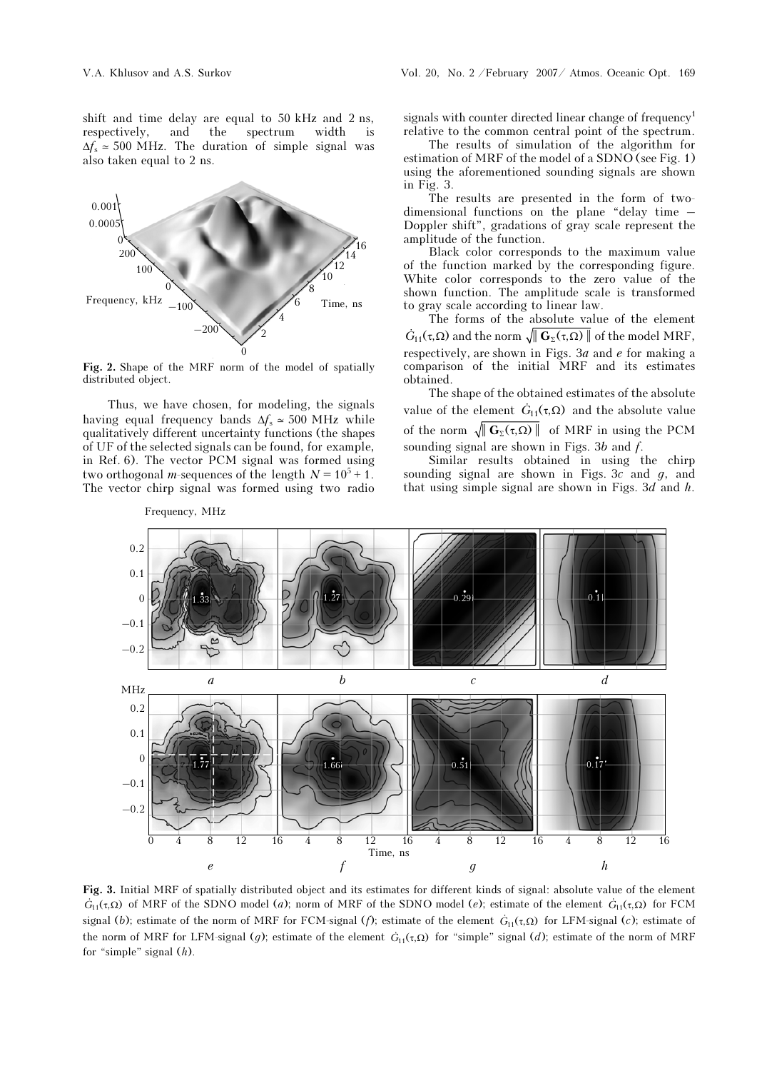shift and time delay are equal to 50 kHz and 2 ns, respectively, and the spectrum width is  $\Delta f_s \approx 500$  MHz. The duration of simple signal was also taken equal to 2 ns.



Fig. 2. Shape of the MRF norm of the model of spatially distributed object.

Thus, we have chosen, for modeling, the signals having equal frequency bands  $\Delta f_s \approx 500 \text{ MHz}$  while qualitatively different uncertainty functions (the shapes of UF of the selected signals can be found, for example, in Ref. 6). The vector PCM signal was formed using two orthogonal *m*-sequences of the length  $N = 10^5 + 1$ . The vector chirp signal was formed using two radio

Frequency, MHz

signals with counter directed linear change of frequency<sup>1</sup> relative to the common central point of the spectrum.

 The results of simulation of the algorithm for estimation of MRF of the model of a SDNO (see Fig. 1) using the aforementioned sounding signals are shown in Fig. 3.

The results are presented in the form of twodimensional functions on the plane "delay time – Doppler shift", gradations of gray scale represent the amplitude of the function.

Black color corresponds to the maximum value of the function marked by the corresponding figure. White color corresponds to the zero value of the shown function. The amplitude scale is transformed to gray scale according to linear law. Wsh<br>to<br>G

The forms of the absolute value of the element  $\dot{G}_{11}(\tau, \Omega)$  and the norm  $\sqrt{\|\mathbf{G}_{\Sigma}(\tau, \Omega)\|}$  of the model MRF, respectively, are shown in Figs. 3a and e for making a comparison of the initial MRF and its estimates obtained. respectively, are shown in Figs. 3*a* and *e* for making a comparison of the initial MRF and its estimates obtained.<br>The shape of the obtained estimates of the absolute value of the element  $\dot{G}_{11}(\tau,\Omega)$  and the absolut

The shape of the obtained estimates of the absolute of the norm  $\sqrt{\|\mathbf{G}_{\Sigma}(\tau,\Omega)\|}$  of MRF in using the PCM sounding signal are shown in Figs. 3b and f.

Similar results obtained in using the chirp sounding signal are shown in Figs. 3c and  $q$ , and that using simple signal are shown in Figs. 3d and  $h$ .



Fi<br>*G*  $G_{11}(\tau,\Omega)$  of MRF of the SDNO model (a); norm of MRF of the SDNO model (e); estimate of the element  $G_{11}(\tau,\Omega)$  for FCM **ig. 3.** Initial MRF of spatially distributed object and its estimates for different kinds  $\dot{G}_{H}(\tau,\Omega)$  of MRF of the SDNO model (*a*); norm of MRF of the SDNO model (*e*); estimate of the norm of MRF for FCM-signal (*f*  $\dot{G}_{11}(\tau, \Omega)$  for LFM-signal (c); estimate of **Fig. 3.** Initial MRF of spatially distributed object and its estimates for different kinds of signal: absolute value of the element  $G_{11}(\tau,\Omega)$  of MRF of the SDNO model (*a*); norm of MRF of the SDNO model (*e*); estim for "simple" signal  $(h)$ .